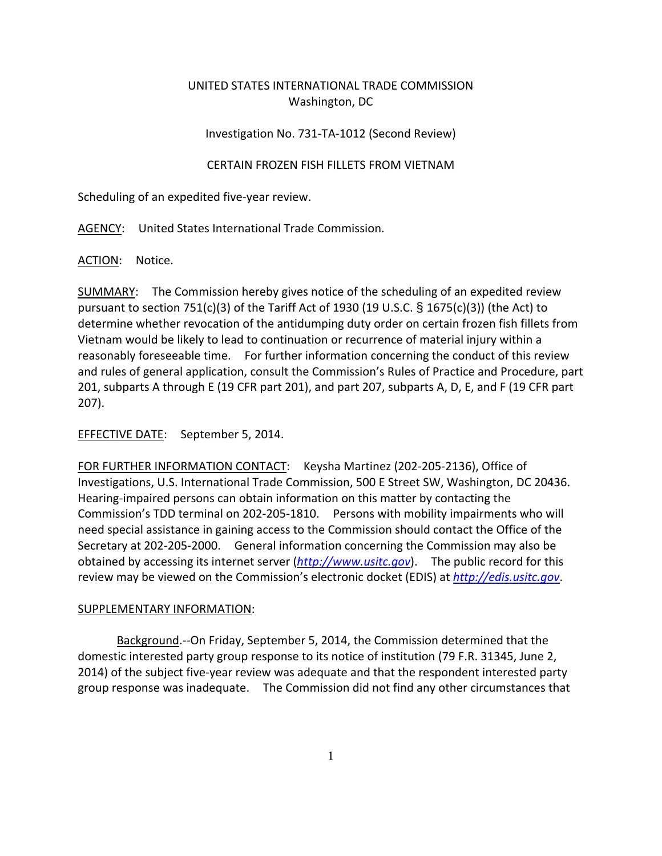## UNITED STATES INTERNATIONAL TRADE COMMISSION Washington, DC

## Investigation No. 731‐TA‐1012 (Second Review)

## CERTAIN FROZEN FISH FILLETS FROM VIETNAM

Scheduling of an expedited five‐year review.

AGENCY: United States International Trade Commission.

ACTION: Notice.

SUMMARY: The Commission hereby gives notice of the scheduling of an expedited review pursuant to section 751(c)(3) of the Tariff Act of 1930 (19 U.S.C.  $\frac{1}{5}$  1675(c)(3)) (the Act) to determine whether revocation of the antidumping duty order on certain frozen fish fillets from Vietnam would be likely to lead to continuation or recurrence of material injury within a reasonably foreseeable time. For further information concerning the conduct of this review and rules of general application, consult the Commission's Rules of Practice and Procedure, part 201, subparts A through E (19 CFR part 201), and part 207, subparts A, D, E, and F (19 CFR part 207).

EFFECTIVE DATE: September 5, 2014.

FOR FURTHER INFORMATION CONTACT: Keysha Martinez (202‐205‐2136), Office of Investigations, U.S. International Trade Commission, 500 E Street SW, Washington, DC 20436. Hearing‐impaired persons can obtain information on this matter by contacting the Commission's TDD terminal on 202‐205‐1810. Persons with mobility impairments who will need special assistance in gaining access to the Commission should contact the Office of the Secretary at 202‐205‐2000. General information concerning the Commission may also be obtained by accessing its internet server (*http://www.usitc.gov*). The public record for this review may be viewed on the Commission's electronic docket (EDIS) at *http://edis.usitc.gov*.

## SUPPLEMENTARY INFORMATION:

Background.‐‐On Friday, September 5, 2014, the Commission determined that the domestic interested party group response to its notice of institution (79 F.R. 31345, June 2, 2014) of the subject five‐year review was adequate and that the respondent interested party group response was inadequate. The Commission did not find any other circumstances that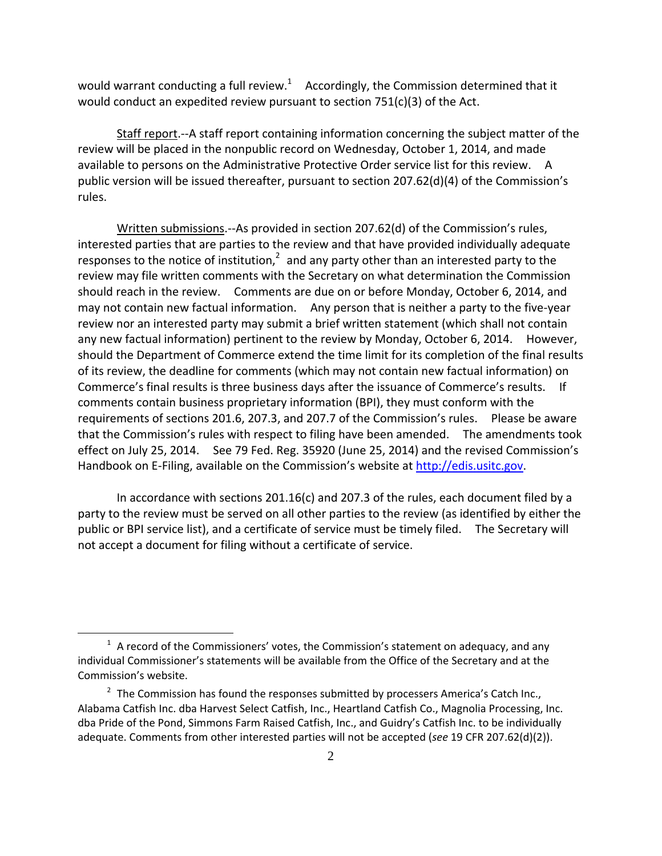would warrant conducting a full review.<sup>1</sup> Accordingly, the Commission determined that it would conduct an expedited review pursuant to section 751(c)(3) of the Act.

Staff report.‐‐A staff report containing information concerning the subject matter of the review will be placed in the nonpublic record on Wednesday, October 1, 2014, and made available to persons on the Administrative Protective Order service list for this review. A public version will be issued thereafter, pursuant to section 207.62(d)(4) of the Commission's rules.

Written submissions.‐‐As provided in section 207.62(d) of the Commission's rules, interested parties that are parties to the review and that have provided individually adequate responses to the notice of institution, $2$  and any party other than an interested party to the review may file written comments with the Secretary on what determination the Commission should reach in the review. Comments are due on or before Monday, October 6, 2014, and may not contain new factual information. Any person that is neither a party to the five-year review nor an interested party may submit a brief written statement (which shall not contain any new factual information) pertinent to the review by Monday, October 6, 2014. However, should the Department of Commerce extend the time limit for its completion of the final results of its review, the deadline for comments (which may not contain new factual information) on Commerce's final results is three business days after the issuance of Commerce's results. If comments contain business proprietary information (BPI), they must conform with the requirements of sections 201.6, 207.3, and 207.7 of the Commission's rules. Please be aware that the Commission's rules with respect to filing have been amended. The amendments took effect on July 25, 2014. See 79 Fed. Reg. 35920 (June 25, 2014) and the revised Commission's Handbook on E-Filing, available on the Commission's website at http://edis.usitc.gov.

In accordance with sections 201.16(c) and 207.3 of the rules, each document filed by a party to the review must be served on all other parties to the review (as identified by either the public or BPI service list), and a certificate of service must be timely filed. The Secretary will not accept a document for filing without a certificate of service.

1

 $1$  A record of the Commissioners' votes, the Commission's statement on adequacy, and any individual Commissioner's statements will be available from the Office of the Secretary and at the Commission's website.

 $2$  The Commission has found the responses submitted by processers America's Catch Inc., Alabama Catfish Inc. dba Harvest Select Catfish, Inc., Heartland Catfish Co., Magnolia Processing, Inc. dba Pride of the Pond, Simmons Farm Raised Catfish, Inc., and Guidry's Catfish Inc. to be individually adequate. Comments from other interested parties will not be accepted (*see* 19 CFR 207.62(d)(2)).